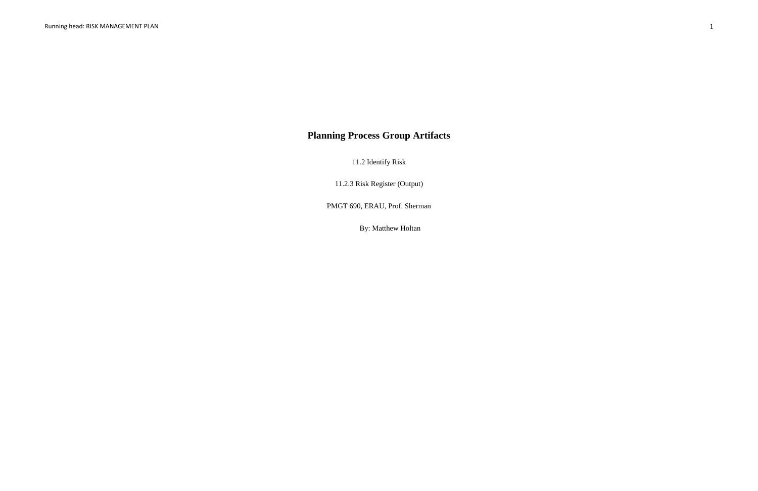# **Planning Process Group Artifacts**

11.2 Identify Risk

11.2.3 Risk Register (Output)

PMGT 690, ERAU, Prof. Sherman

By: Matthew Holtan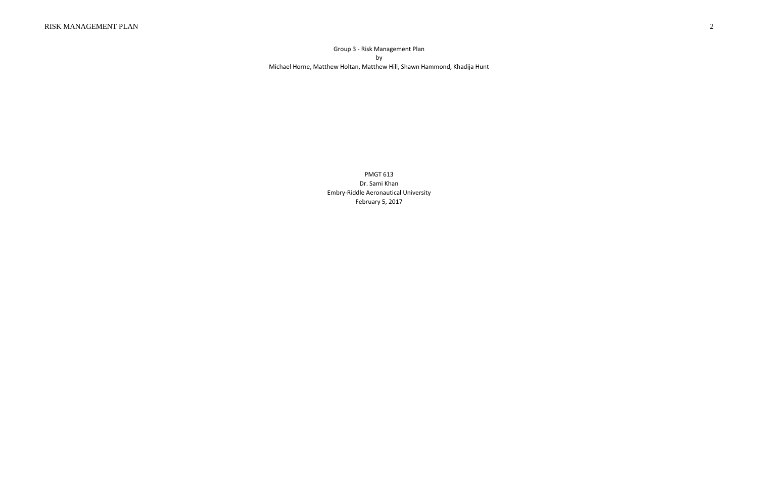Group 3 - Risk Management Plan by Michael Horne, Matthew Holtan, Matthew Hill, Shawn Hammond, Khadija Hunt

> PMGT 613 Dr. Sami Khan Embry-Riddle Aeronautical University February 5, 2017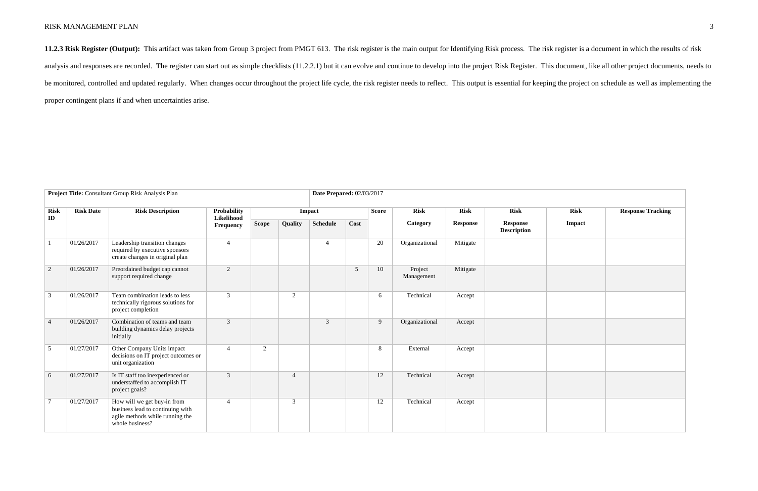### RISK MANAGEMENT PLAN 3

11.2.3 Risk Register (Output): This artifact was taken from Group 3 project from PMGT 613. The risk register is the main output for Identifying Risk process. The risk register is a document in which the results of risk analysis and responses are recorded. The register can start out as simple checklists (11.2.2.1) but it can evolve and continue to develop into the project Risk Register. This document, like all other project documents, nee be monitored, controlled and updated regularly. When changes occur throughout the project life cycle, the risk register needs to reflect. This output is essential for keeping the project on schedule as well as implementing proper contingent plans if and when uncertainties arise.

| Project Title: Consultant Group Risk Analysis Plan |                  |                                                                                                                       |                                  |                | <b>Date Prepared: 02/03/2017</b> |                 |              |             |                       |                 |                                       |                          |  |
|----------------------------------------------------|------------------|-----------------------------------------------------------------------------------------------------------------------|----------------------------------|----------------|----------------------------------|-----------------|--------------|-------------|-----------------------|-----------------|---------------------------------------|--------------------------|--|
| <b>Risk</b><br>$\mathbf{ID}$                       | <b>Risk Date</b> | <b>Risk Description</b>                                                                                               | <b>Probability</b><br>Likelihood |                | Impact                           |                 | <b>Score</b> | <b>Risk</b> | <b>Risk</b>           | <b>Risk</b>     | <b>Risk</b>                           | <b>Response Tracking</b> |  |
|                                                    |                  |                                                                                                                       | Frequency                        | Scope          | Quality                          | <b>Schedule</b> | Cost         |             | Category              | <b>Response</b> | <b>Response</b><br><b>Description</b> | Impact                   |  |
|                                                    | 01/26/2017       | Leadership transition changes<br>required by executive sponsors<br>create changes in original plan                    | $\overline{4}$                   |                |                                  | $\overline{4}$  |              | 20          | Organizational        | Mitigate        |                                       |                          |  |
| 2                                                  | 01/26/2017       | Preordained budget cap cannot<br>support required change                                                              | 2                                |                |                                  |                 | 5            | 10          | Project<br>Management | Mitigate        |                                       |                          |  |
| $\overline{3}$                                     | 01/26/2017       | Team combination leads to less<br>technically rigorous solutions for<br>project completion                            | 3                                |                | $\overline{2}$                   |                 |              | 6           | Technical             | Accept          |                                       |                          |  |
| $\overline{4}$                                     | 01/26/2017       | Combination of teams and team<br>building dynamics delay projects<br>initially                                        | $\overline{3}$                   |                |                                  | $\mathfrak{Z}$  |              | 9           | Organizational        | Accept          |                                       |                          |  |
| $\overline{5}$                                     | 01/27/2017       | Other Company Units impact<br>decisions on IT project outcomes or<br>unit organization                                | $\overline{4}$                   | $\overline{2}$ |                                  |                 |              | 8           | External              | Accept          |                                       |                          |  |
| 6                                                  | 01/27/2017       | Is IT staff too inexperienced or<br>understaffed to accomplish IT<br>project goals?                                   | 3                                |                | $\overline{4}$                   |                 |              | 12          | Technical             | Accept          |                                       |                          |  |
| $\overline{7}$                                     | 01/27/2017       | How will we get buy-in from<br>business lead to continuing with<br>agile methods while running the<br>whole business? | $\overline{4}$                   |                | 3                                |                 |              | 12          | Technical             | Accept          |                                       |                          |  |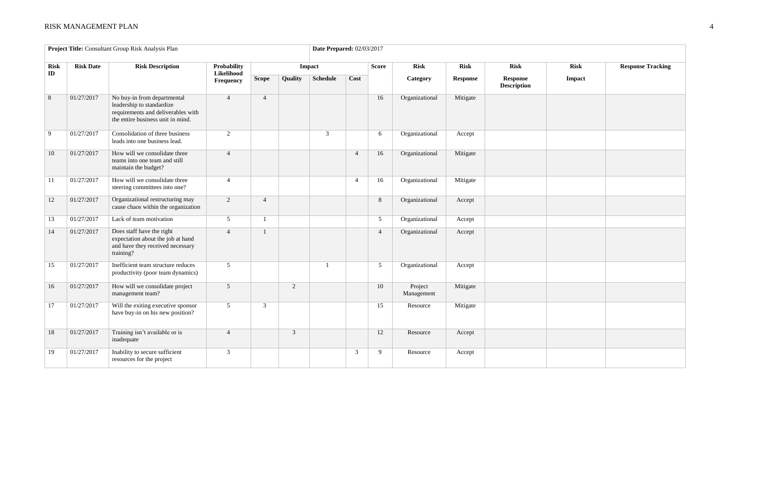| Project Title: Consultant Group Risk Analysis Plan |                  |                                                                                                                                     |                         |                | <b>Date Prepared: 02/03/2017</b> |                 |                |                 |                         |                                |                                                      |             |                          |
|----------------------------------------------------|------------------|-------------------------------------------------------------------------------------------------------------------------------------|-------------------------|----------------|----------------------------------|-----------------|----------------|-----------------|-------------------------|--------------------------------|------------------------------------------------------|-------------|--------------------------|
| <b>Risk</b>                                        | <b>Risk Date</b> | <b>Risk Description</b>                                                                                                             | Probability             |                |                                  | Impact          |                | <b>Score</b>    | <b>Risk</b><br>Category | <b>Risk</b><br><b>Response</b> | <b>Risk</b><br><b>Response</b><br><b>Description</b> | <b>Risk</b> | <b>Response Tracking</b> |
| $\mathbf{ID}$                                      |                  |                                                                                                                                     | Likelihood<br>Frequency | <b>Scope</b>   | Quality                          | <b>Schedule</b> | Cost           |                 |                         |                                |                                                      | Impact      |                          |
| 8                                                  | 01/27/2017       | No buy-in from departmental<br>leadership to standardize<br>requirements and deliverables with<br>the entire business unit in mind. | $\overline{4}$          | $\overline{4}$ |                                  |                 |                | 16              | Organizational          | Mitigate                       |                                                      |             |                          |
| 9                                                  | 01/27/2017       | Consolidation of three business<br>leads into one business lead.                                                                    | $\overline{2}$          |                |                                  | $\mathfrak{Z}$  |                | 6               | Organizational          | Accept                         |                                                      |             |                          |
| $10\,$                                             | 01/27/2017       | How will we consolidate three<br>teams into one team and still<br>maintain the budget?                                              | $\overline{4}$          |                |                                  |                 | $\overline{4}$ | 16              | Organizational          | Mitigate                       |                                                      |             |                          |
| 11                                                 | 01/27/2017       | How will we consolidate three<br>steering committees into one?                                                                      | $\overline{4}$          |                |                                  |                 | $\overline{4}$ | 16              | Organizational          | Mitigate                       |                                                      |             |                          |
| 12                                                 | 01/27/2017       | Organizational restructuring may<br>cause chaos within the organization                                                             | $\overline{2}$          | $\overline{4}$ |                                  |                 |                | 8               | Organizational          | Accept                         |                                                      |             |                          |
| 13                                                 | 01/27/2017       | Lack of team motivation                                                                                                             | $5\overline{)}$         | 1              |                                  |                 |                | $5\overline{)}$ | Organizational          | Accept                         |                                                      |             |                          |
| 14                                                 | 01/27/2017       | Does staff have the right<br>expectation about the job at hand<br>and have they received necessary<br>training?                     | $\overline{4}$          | $\mathbf{1}$   |                                  |                 |                | $\overline{4}$  | Organizational          | Accept                         |                                                      |             |                          |
| 15                                                 | 01/27/2017       | Inefficient team structure reduces<br>productivity (poor team dynamics)                                                             | $5\overline{)}$         |                |                                  | $\mathbf{1}$    |                | $5\overline{)}$ | Organizational          | Accept                         |                                                      |             |                          |
| 16                                                 | 01/27/2017       | How will we consolidate project<br>management team?                                                                                 | $5\overline{)}$         |                | 2                                |                 |                | 10              | Project<br>Management   | Mitigate                       |                                                      |             |                          |
| 17                                                 | 01/27/2017       | Will the exiting executive sponsor<br>have buy-in on his new position?                                                              | $5\overline{)}$         | $\mathfrak{Z}$ |                                  |                 |                | 15              | Resource                | Mitigate                       |                                                      |             |                          |
| 18                                                 | 01/27/2017       | Training isn't available or is<br>inadequate                                                                                        | $\overline{4}$          |                | $\mathfrak{Z}$                   |                 |                | 12              | Resource                | Accept                         |                                                      |             |                          |
| 19                                                 | 01/27/2017       | Inability to secure sufficient<br>resources for the project                                                                         | $\mathfrak{Z}$          |                |                                  |                 | 3              | 9               | Resource                | Accept                         |                                                      |             |                          |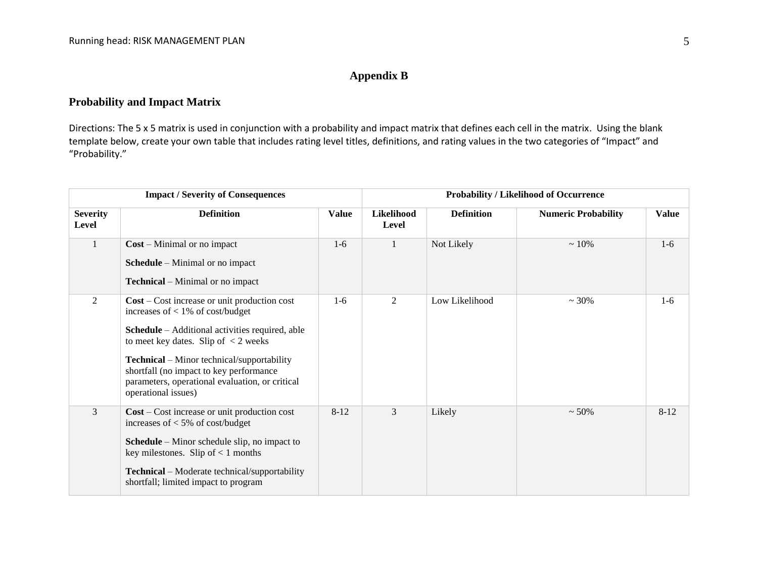### **Appendix B**

### **Probability and Impact Matrix**

Directions: The 5 x 5 matrix is used in conjunction with a probability and impact matrix that defines each cell in the matrix. Using the blank template below, create your own table that includes rating level titles, definitions, and rating values in the two categories of "Impact" and "Probability."

|                                 | <b>Impact / Severity of Consequences</b>                                                                                                                                                                                                                                                                                                                            |              | <b>Probability / Likelihood of Occurrence</b> |                   |                            |              |  |  |
|---------------------------------|---------------------------------------------------------------------------------------------------------------------------------------------------------------------------------------------------------------------------------------------------------------------------------------------------------------------------------------------------------------------|--------------|-----------------------------------------------|-------------------|----------------------------|--------------|--|--|
| <b>Severity</b><br><b>Level</b> | <b>Definition</b>                                                                                                                                                                                                                                                                                                                                                   | <b>Value</b> | Likelihood<br>Level                           | <b>Definition</b> | <b>Numeric Probability</b> | <b>Value</b> |  |  |
| 1                               | $Cost - Minimal$ or no impact<br><b>Schedule</b> – Minimal or no impact<br><b>Technical</b> – Minimal or no impact                                                                                                                                                                                                                                                  | $1-6$        |                                               | Not Likely        | $~10\%$                    | $1-6$        |  |  |
| 2                               | $Cost - Cost$ increase or unit production cost<br>increases of $< 1\%$ of cost/budget<br>Schedule - Additional activities required, able<br>to meet key dates. Slip of $\langle 2 \rangle$ weeks<br>Technical - Minor technical/supportability<br>shortfall (no impact to key performance<br>parameters, operational evaluation, or critical<br>operational issues) | $1-6$        | 2                                             | Low Likelihood    | $~1.30\%$                  | $1-6$        |  |  |
| 3                               | $Cost - Cost$ increase or unit production cost<br>increases of $<$ 5% of cost/budget<br><b>Schedule</b> – Minor schedule slip, no impact to<br>key milestones. Slip of $< 1$ months<br><b>Technical</b> – Moderate technical/supportability<br>shortfall; limited impact to program                                                                                 | $8 - 12$     | 3                                             | Likely            | $~1.50\%$                  | $8 - 12$     |  |  |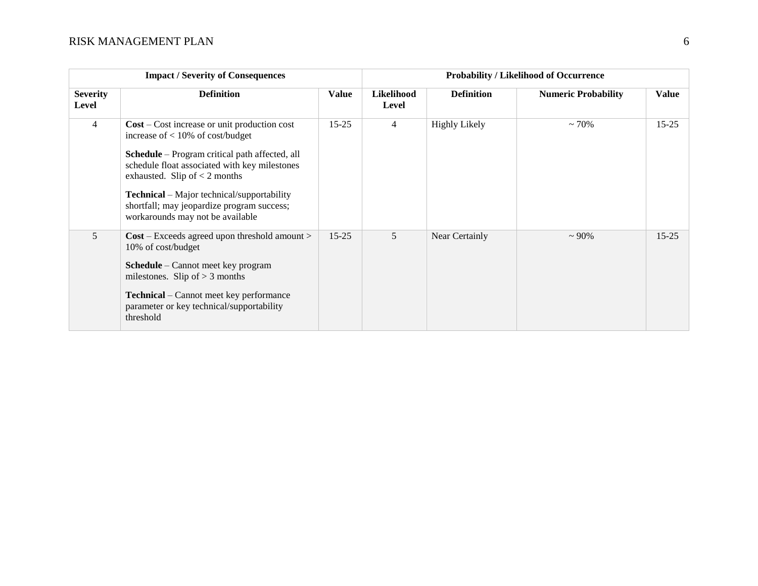### RISK MANAGEMENT PLAN 6

|                          | <b>Impact / Severity of Consequences</b>                                                                                                                                                                                                                                                                                                                                 |              | <b>Probability / Likelihood of Occurrence</b> |                      |                            |              |  |  |  |  |
|--------------------------|--------------------------------------------------------------------------------------------------------------------------------------------------------------------------------------------------------------------------------------------------------------------------------------------------------------------------------------------------------------------------|--------------|-----------------------------------------------|----------------------|----------------------------|--------------|--|--|--|--|
| <b>Severity</b><br>Level | <b>Definition</b>                                                                                                                                                                                                                                                                                                                                                        | <b>Value</b> | Likelihood<br>Level                           | <b>Definition</b>    | <b>Numeric Probability</b> | <b>Value</b> |  |  |  |  |
| $\overline{4}$           | $Cost - Cost$ increase or unit production cost<br>increase of $<$ 10% of cost/budget<br><b>Schedule</b> – Program critical path affected, all<br>schedule float associated with key milestones<br>exhausted. Slip of $<$ 2 months<br><b>Technical</b> – Major technical/supportability<br>shortfall; may jeopardize program success;<br>workarounds may not be available | $15 - 25$    | $\overline{4}$                                | <b>Highly Likely</b> | $~10\%$                    | $15 - 25$    |  |  |  |  |
| 5                        | Cost – Exceeds agreed upon threshold amount ><br>10% of cost/budget<br><b>Schedule</b> – Cannot meet key program<br>milestones. Slip of $>$ 3 months<br><b>Technical</b> – Cannot meet key performance<br>parameter or key technical/supportability<br>threshold                                                                                                         | $15-25$      | 5                                             | Near Certainly       | $\sim 90\%$                | $15 - 25$    |  |  |  |  |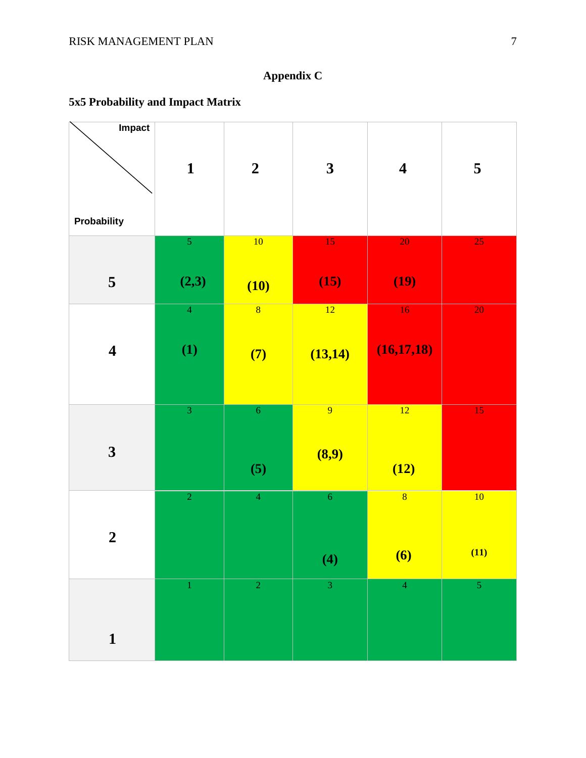## **Appendix C**

## **5x5 Probability and Impact Matrix**

| Impact<br>Probability   | $\mathbf{1}$     | $\boldsymbol{2}$ | $\mathbf{3}$     | $\overline{\mathbf{4}}$ | 5               |
|-------------------------|------------------|------------------|------------------|-------------------------|-----------------|
|                         | $\overline{5}$   | 10               | $\overline{15}$  | $\overline{20}$         | $\overline{25}$ |
| 5                       | (2,3)            | (10)             | (15)             | (19)                    |                 |
|                         | $\overline{4}$   | $\overline{8}$   | 12               | $\overline{16}$         | $\overline{20}$ |
| $\overline{\mathbf{4}}$ | <b>(1)</b>       | (7)              | (13,14)          | (16, 17, 18)            |                 |
|                         |                  |                  |                  |                         |                 |
|                         | $\overline{3}$   | $\overline{6}$   | $\overline{9}$   | 12                      | $15\,$          |
| $\mathbf{3}$            |                  | (5)              | (8,9)            | (12)                    |                 |
|                         | $\sqrt{2}$       | $\overline{4}$   | $\overline{6}$   | $\sqrt{8}$              | 10              |
| $\boldsymbol{2}$        |                  |                  |                  |                         |                 |
|                         |                  |                  | $\left(4\right)$ | $\left( 6\right)$       | (11)            |
|                         | $\boldsymbol{1}$ | $\overline{2}$   | $\overline{3}$   | $\overline{4}$          | $\overline{5}$  |
| $\mathbf{1}$            |                  |                  |                  |                         |                 |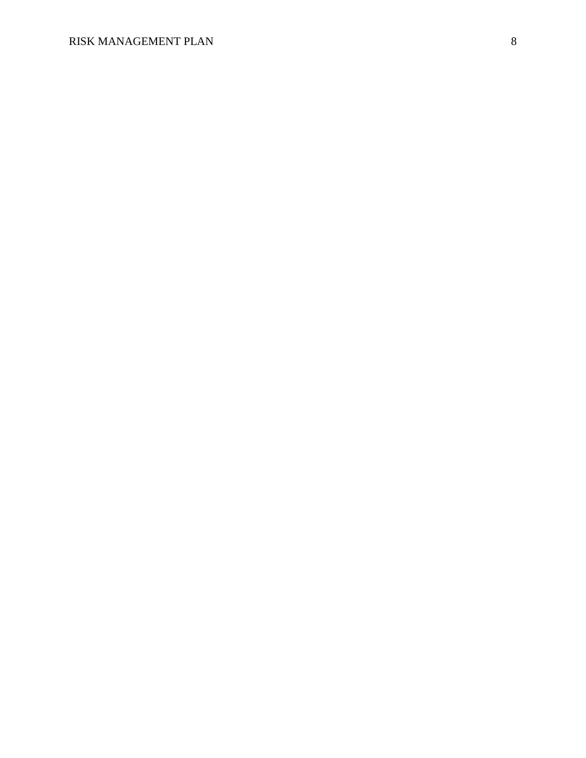### RISK MANAGEMENT PLAN 8